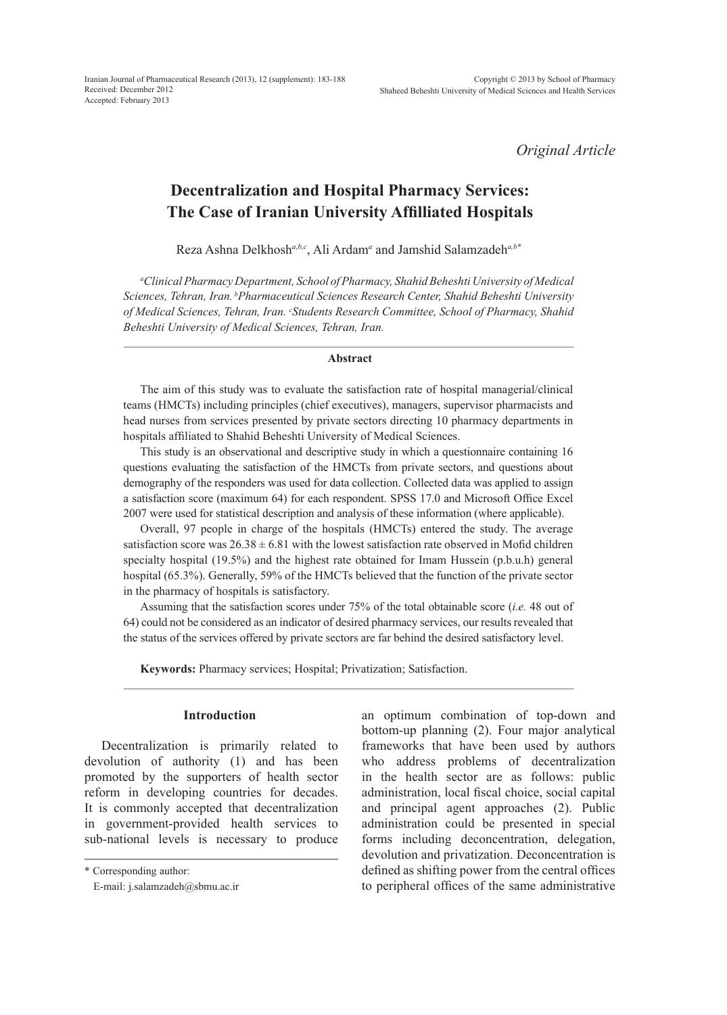*Original Article*

# **Decentralization and Hospital Pharmacy Services: The Case of Iranian University Affilliated Hospitals**

Reza Ashna Delkhosh*a,b,c*, Ali Ardam*<sup>a</sup>* and Jamshid Salamzadeh*a,b\**

*a Clinical Pharmacy Department, School of Pharmacy, Shahid Beheshti University of Medical Sciences, Tehran, Iran. bPharmaceutical Sciences Research Center, Shahid Beheshti University of Medical Sciences, Tehran, Iran. c Students Research Committee, School of Pharmacy, Shahid Beheshti University of Medical Sciences, Tehran, Iran.*

#### **Abstract**

The aim of this study was to evaluate the satisfaction rate of hospital managerial/clinical teams (HMCTs) including principles (chief executives), managers, supervisor pharmacists and head nurses from services presented by private sectors directing 10 pharmacy departments in hospitals affiliated to Shahid Beheshti University of Medical Sciences.

This study is an observational and descriptive study in which a questionnaire containing 16 questions evaluating the satisfaction of the HMCTs from private sectors, and questions about demography of the responders was used for data collection. Collected data was applied to assign a satisfaction score (maximum 64) for each respondent. SPSS 17.0 and Microsoft Office Excel 2007 were used for statistical description and analysis of these information (where applicable).

Overall, 97 people in charge of the hospitals (HMCTs) entered the study. The average satisfaction score was  $26.38 \pm 6.81$  with the lowest satisfaction rate observed in Mofid children specialty hospital (19.5%) and the highest rate obtained for Imam Hussein (p.b.u.h) general hospital (65.3%). Generally, 59% of the HMCTs believed that the function of the private sector in the pharmacy of hospitals is satisfactory.

Assuming that the satisfaction scores under 75% of the total obtainable score (*i.e.* 48 out of 64) could not be considered as an indicator of desired pharmacy services, our results revealed that the status of the services offered by private sectors are far behind the desired satisfactory level.

**Keywords:** Pharmacy services; Hospital; Privatization; Satisfaction.

## **Introduction**

Decentralization is primarily related to devolution of authority (1) and has been promoted by the supporters of health sector reform in developing countries for decades. It is commonly accepted that decentralization in government-provided health services to sub-national levels is necessary to produce an optimum combination of top-down and bottom-up planning (2). Four major analytical frameworks that have been used by authors who address problems of decentralization in the health sector are as follows: public administration, local fiscal choice, social capital and principal agent approaches (2). Public administration could be presented in special forms including deconcentration, delegation, devolution and privatization. Deconcentration is defined as shifting power from the central offices to peripheral offices of the same administrative

<sup>\*</sup> Corresponding author:

E-mail: j.salamzadeh@sbmu.ac.ir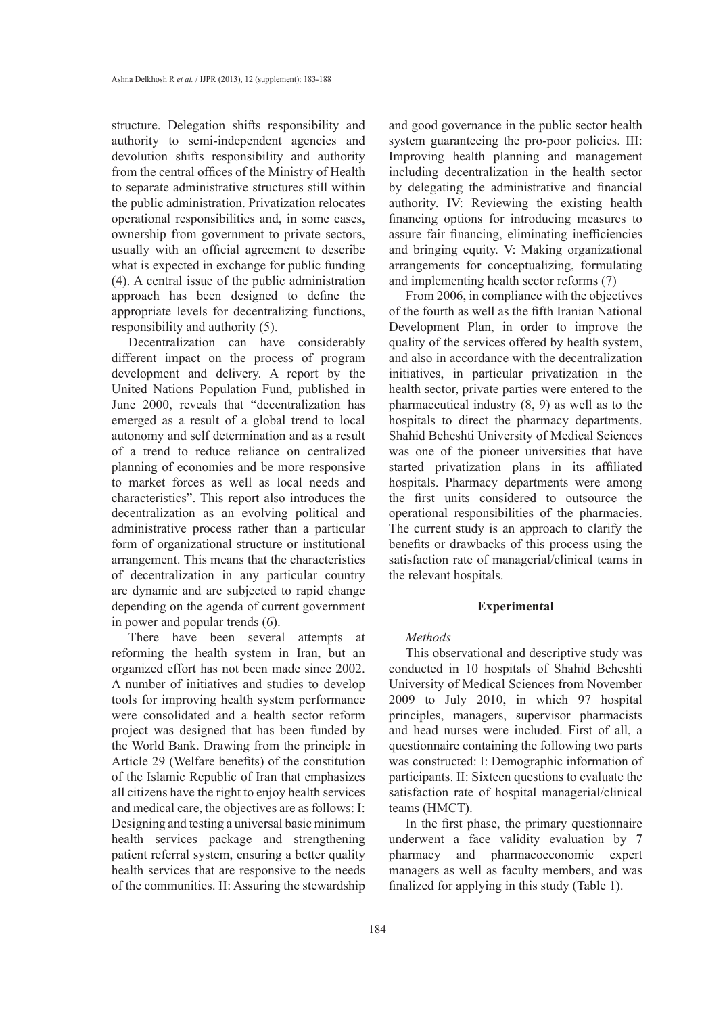structure. Delegation shifts responsibility and authority to semi-independent agencies and devolution shifts responsibility and authority from the central offices of the Ministry of Health to separate administrative structures still within the public administration. Privatization relocates operational responsibilities and, in some cases, ownership from government to private sectors, usually with an official agreement to describe what is expected in exchange for public funding (4). A central issue of the public administration approach has been designed to define the appropriate levels for decentralizing functions, responsibility and authority (5).

Decentralization can have considerably different impact on the process of program development and delivery. A report by the United Nations Population Fund, published in June 2000, reveals that "decentralization has emerged as a result of a global trend to local autonomy and self determination and as a result of a trend to reduce reliance on centralized planning of economies and be more responsive to market forces as well as local needs and characteristics". This report also introduces the decentralization as an evolving political and administrative process rather than a particular form of organizational structure or institutional arrangement. This means that the characteristics of decentralization in any particular country are dynamic and are subjected to rapid change depending on the agenda of current government in power and popular trends (6).

There have been several attempts at reforming the health system in Iran, but an organized effort has not been made since 2002. A number of initiatives and studies to develop tools for improving health system performance were consolidated and a health sector reform project was designed that has been funded by the World Bank. Drawing from the principle in Article 29 (Welfare benefits) of the constitution of the Islamic Republic of Iran that emphasizes all citizens have the right to enjoy health services and medical care, the objectives are as follows: I: Designing and testing a universal basic minimum health services package and strengthening patient referral system, ensuring a better quality health services that are responsive to the needs of the communities. II: Assuring the stewardship and good governance in the public sector health system guaranteeing the pro-poor policies. III: Improving health planning and management including decentralization in the health sector by delegating the administrative and financial authority. IV: Reviewing the existing health financing options for introducing measures to assure fair financing, eliminating inefficiencies and bringing equity. V: Making organizational arrangements for conceptualizing, formulating and implementing health sector reforms (7)

From 2006, in compliance with the objectives of the fourth as well as the fifth Iranian National Development Plan, in order to improve the quality of the services offered by health system, and also in accordance with the decentralization initiatives, in particular privatization in the health sector, private parties were entered to the pharmaceutical industry (8, 9) as well as to the hospitals to direct the pharmacy departments. Shahid Beheshti University of Medical Sciences was one of the pioneer universities that have started privatization plans in its affiliated hospitals. Pharmacy departments were among the first units considered to outsource the operational responsibilities of the pharmacies. The current study is an approach to clarify the benefits or drawbacks of this process using the satisfaction rate of managerial/clinical teams in the relevant hospitals.

## **Experimental**

## *Methods*

This observational and descriptive study was conducted in 10 hospitals of Shahid Beheshti University of Medical Sciences from November 2009 to July 2010, in which 97 hospital principles, managers, supervisor pharmacists and head nurses were included. First of all, a questionnaire containing the following two parts was constructed: I: Demographic information of participants. II: Sixteen questions to evaluate the satisfaction rate of hospital managerial/clinical teams (HMCT).

In the first phase, the primary questionnaire underwent a face validity evaluation by 7 pharmacy and pharmacoeconomic expert managers as well as faculty members, and was finalized for applying in this study (Table 1).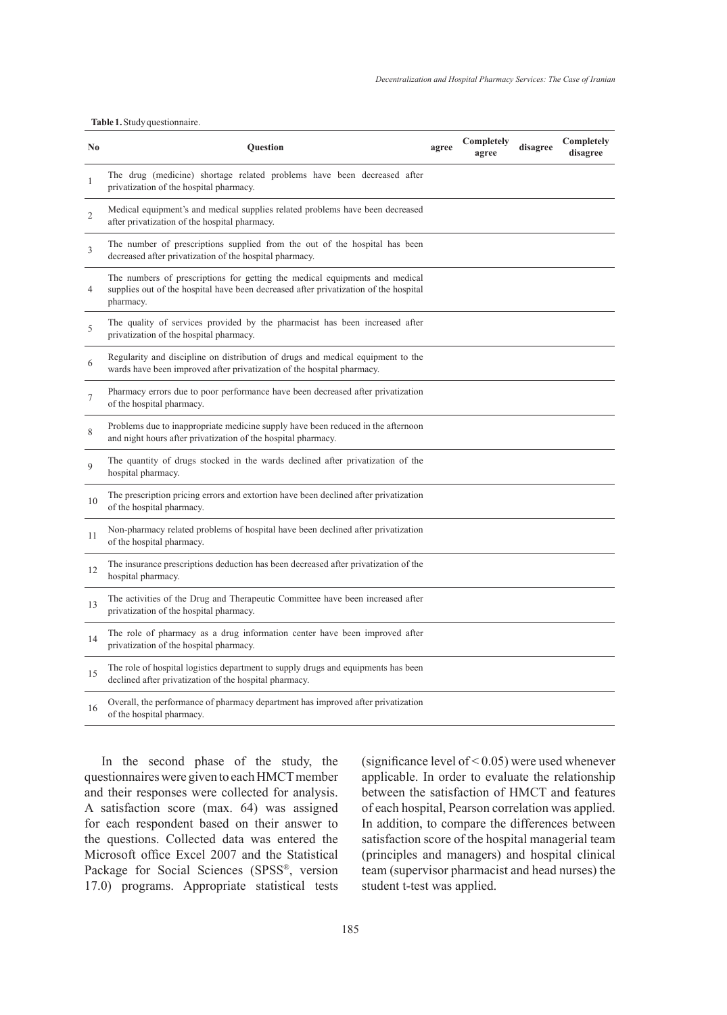#### **Table 1.** Study questionnaire.

| $\bf No$       | Question                                                                                                                                                                         | agree | Completely<br>agree | disagree | Completely<br>disagree |
|----------------|----------------------------------------------------------------------------------------------------------------------------------------------------------------------------------|-------|---------------------|----------|------------------------|
| 1              | The drug (medicine) shortage related problems have been decreased after<br>privatization of the hospital pharmacy.                                                               |       |                     |          |                        |
| $\mathbf{2}$   | Medical equipment's and medical supplies related problems have been decreased<br>after privatization of the hospital pharmacy.                                                   |       |                     |          |                        |
| $\mathfrak{Z}$ | The number of prescriptions supplied from the out of the hospital has been<br>decreased after privatization of the hospital pharmacy.                                            |       |                     |          |                        |
| $\overline{4}$ | The numbers of prescriptions for getting the medical equipments and medical<br>supplies out of the hospital have been decreased after privatization of the hospital<br>pharmacy. |       |                     |          |                        |
| 5              | The quality of services provided by the pharmacist has been increased after<br>privatization of the hospital pharmacy.                                                           |       |                     |          |                        |
| 6              | Regularity and discipline on distribution of drugs and medical equipment to the<br>wards have been improved after privatization of the hospital pharmacy.                        |       |                     |          |                        |
| $\overline{7}$ | Pharmacy errors due to poor performance have been decreased after privatization<br>of the hospital pharmacy.                                                                     |       |                     |          |                        |
| $\,$ 8 $\,$    | Problems due to inappropriate medicine supply have been reduced in the afternoon<br>and night hours after privatization of the hospital pharmacy.                                |       |                     |          |                        |
| 9              | The quantity of drugs stocked in the wards declined after privatization of the<br>hospital pharmacy.                                                                             |       |                     |          |                        |
| 10             | The prescription pricing errors and extortion have been declined after privatization<br>of the hospital pharmacy.                                                                |       |                     |          |                        |
| 11             | Non-pharmacy related problems of hospital have been declined after privatization<br>of the hospital pharmacy.                                                                    |       |                     |          |                        |
| 12             | The insurance prescriptions deduction has been decreased after privatization of the<br>hospital pharmacy.                                                                        |       |                     |          |                        |
| 13             | The activities of the Drug and Therapeutic Committee have been increased after<br>privatization of the hospital pharmacy.                                                        |       |                     |          |                        |
| 14             | The role of pharmacy as a drug information center have been improved after<br>privatization of the hospital pharmacy.                                                            |       |                     |          |                        |
| 15             | The role of hospital logistics department to supply drugs and equipments has been<br>declined after privatization of the hospital pharmacy.                                      |       |                     |          |                        |
| 16             | Overall, the performance of pharmacy department has improved after privatization<br>of the hospital pharmacy.                                                                    |       |                     |          |                        |

In the second phase of the study, the questionnaires were given to each HMCT member and their responses were collected for analysis. A satisfaction score (max. 64) was assigned for each respondent based on their answer to the questions. Collected data was entered the Microsoft office Excel 2007 and the Statistical Package for Social Sciences (SPSS®, version 17.0) programs. Appropriate statistical tests (significance level of < 0.05) were used whenever applicable. In order to evaluate the relationship between the satisfaction of HMCT and features of each hospital, Pearson correlation was applied. In addition, to compare the differences between satisfaction score of the hospital managerial team (principles and managers) and hospital clinical team (supervisor pharmacist and head nurses) the student t-test was applied.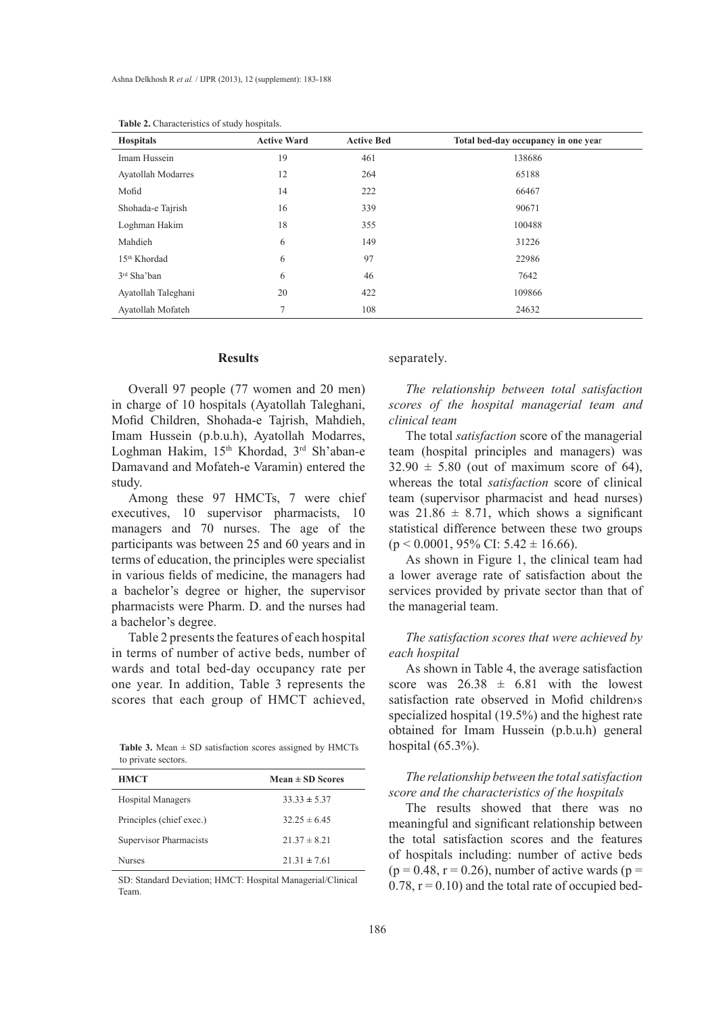| <b>Hospitals</b>          | <b>Active Ward</b> | <b>Active Bed</b> | Total bed-day occupancy in one year |
|---------------------------|--------------------|-------------------|-------------------------------------|
| Imam Hussein              | 19                 | 461               | 138686                              |
| <b>Ayatollah Modarres</b> | 12                 | 264               | 65188                               |
| Mofid                     | 14                 | 222               | 66467                               |
| Shohada-e Tajrish         | 16                 | 339               | 90671                               |
| Loghman Hakim             | 18                 | 355               | 100488                              |
| Mahdieh                   | 6                  | 149               | 31226                               |
| 15 <sup>th</sup> Khordad  | 6                  | 97                | 22986                               |
| $3rd$ Sha'ban             | 6                  | 46                | 7642                                |
| Ayatollah Taleghani       | 20                 | 422               | 109866                              |
| Ayatollah Mofateh         | $\overline{7}$     | 108               | 24632                               |

**Table 2.** Characteristics of study hospitals.

#### **Results**

Overall 97 people (77 women and 20 men) in charge of 10 hospitals (Ayatollah Taleghani, Mofid Children, Shohada-e Tajrish, Mahdieh, Imam Hussein (p.b.u.h), Ayatollah Modarres, Loghman Hakim, 15<sup>th</sup> Khordad, 3<sup>rd</sup> Sh'aban-e Damavand and Mofateh-e Varamin) entered the study.

Among these 97 HMCTs, 7 were chief executives, 10 supervisor pharmacists, 10 managers and 70 nurses. The age of the participants was between 25 and 60 years and in terms of education, the principles were specialist in various fields of medicine, the managers had a bachelor's degree or higher, the supervisor pharmacists were Pharm. D. and the nurses had a bachelor's degree.

Table 2 presents the features of each hospital in terms of number of active beds, number of wards and total bed-day occupancy rate per one year. In addition, Table 3 represents the scores that each group of HMCT achieved,

**Table 3.** Mean  $\pm$  SD satisfaction scores assigned by HMCTs to private sectors.

| <b>HMCT</b>              | Mean $\pm$ SD Scores |
|--------------------------|----------------------|
| <b>Hospital Managers</b> | $33.33 \pm 5.37$     |
| Principles (chief exec.) | $32.25 \pm 6.45$     |
| Supervisor Pharmacists   | $21.37 \pm 8.21$     |
| <b>Nurses</b>            | $21.31 \pm 7.61$     |

SD: Standard Deviation; HMCT: Hospital Managerial/Clinical Team.

separately.

*The relationship between total satisfaction scores of the hospital managerial team and clinical team*

The total *satisfaction* score of the managerial team (hospital principles and managers) was  $32.90 \pm 5.80$  (out of maximum score of 64), whereas the total *satisfaction* score of clinical team (supervisor pharmacist and head nurses) was  $21.86 \pm 8.71$ , which shows a significant statistical difference between these two groups  $(p < 0.0001, 95\% \text{ CI: } 5.42 \pm 16.66).$ 

As shown in Figure 1, the clinical team had a lower average rate of satisfaction about the services provided by private sector than that of the managerial team.

*The satisfaction scores that were achieved by each hospital*

As shown in Table 4, the average satisfaction score was  $26.38 \pm 6.81$  with the lowest satisfaction rate observed in Mofid children›s specialized hospital (19.5%) and the highest rate obtained for Imam Hussein (p.b.u.h) general hospital (65.3%).

## *The relationship between the total satisfaction score and the characteristics of the hospitals*

The results showed that there was no meaningful and significant relationship between the total satisfaction scores and the features of hospitals including: number of active beds  $(p = 0.48, r = 0.26)$ , number of active wards  $(p = 0.48, r = 0.26)$  $0.78$ ,  $r = 0.10$ ) and the total rate of occupied bed-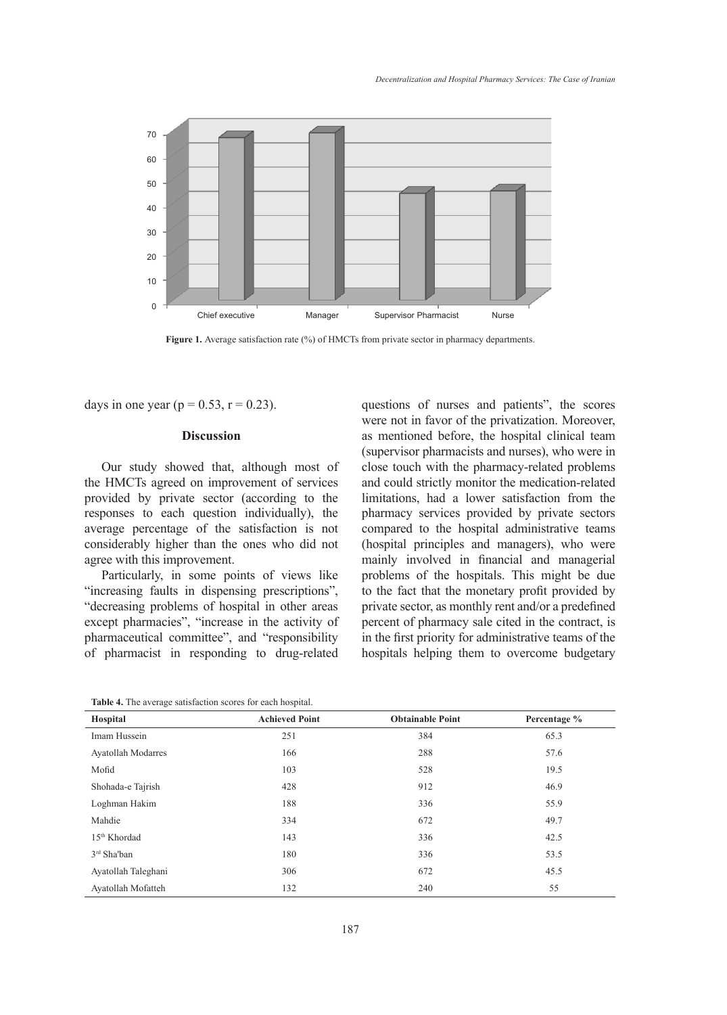

Figure 1. Average satisfaction rate (%) of HMCTs from private sector in pharmacy departments.

days in one year ( $p = 0.53$ ,  $r = 0.23$ ).

### **Discussion**

Our study showed that, although most of the HMCTs agreed on improvement of services provided by private sector (according to the responses to each question individually), the average percentage of the satisfaction is not considerably higher than the ones who did not agree with this improvement.

Particularly, in some points of views like "increasing faults in dispensing prescriptions", "decreasing problems of hospital in other areas except pharmacies", "increase in the activity of pharmaceutical committee", and "responsibility of pharmacist in responding to drug-related questions of nurses and patients", the scores were not in favor of the privatization. Moreover, as mentioned before, the hospital clinical team (supervisor pharmacists and nurses), who were in close touch with the pharmacy-related problems and could strictly monitor the medication-related limitations, had a lower satisfaction from the pharmacy services provided by private sectors compared to the hospital administrative teams (hospital principles and managers), who were mainly involved in financial and managerial problems of the hospitals. This might be due to the fact that the monetary profit provided by private sector, as monthly rent and/or a predefined percent of pharmacy sale cited in the contract, is in the first priority for administrative teams of the hospitals helping them to overcome budgetary

| Hospital                  | <b>Achieved Point</b> | <b>Obtainable Point</b> | Percentage % |
|---------------------------|-----------------------|-------------------------|--------------|
| Imam Hussein              | 251                   | 384                     | 65.3         |
| <b>Ayatollah Modarres</b> | 166                   | 288                     | 57.6         |
| Mofid                     | 103                   | 528                     | 19.5         |
| Shohada-e Tajrish         | 428                   | 912                     | 46.9         |
| Loghman Hakim             | 188                   | 336                     | 55.9         |
| Mahdie                    | 334                   | 672                     | 49.7         |
| 15 <sup>th</sup> Khordad  | 143                   | 336                     | 42.5         |
| $3rd$ Sha'ban             | 180                   | 336                     | 53.5         |
| Ayatollah Taleghani       | 306                   | 672                     | 45.5         |
| Ayatollah Mofatteh        | 132                   | 240                     | 55           |